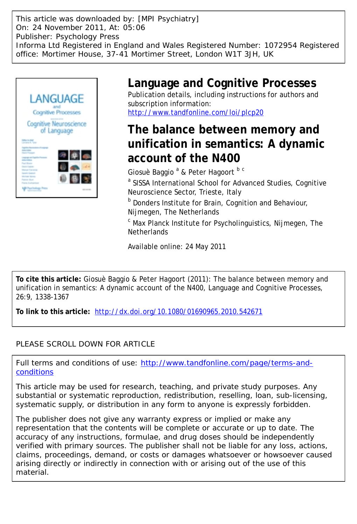This article was downloaded by: [MPI Psychiatry] On: 24 November 2011, At: 05:06 Publisher: Psychology Press Informa Ltd Registered in England and Wales Registered Number: 1072954 Registered office: Mortimer House, 37-41 Mortimer Street, London W1T 3JH, UK



## **Language and Cognitive Processes**

Publication details, including instructions for authors and subscription information: <http://www.tandfonline.com/loi/plcp20>

# **The balance between memory and unification in semantics: A dynamic account of the N400**

Giosuè Baggio <sup>a</sup> & Peter Hagoort <sup>b c</sup>

<sup>a</sup> SISSA International School for Advanced Studies, Cognitive Neuroscience Sector, Trieste, Italy

**b** Donders Institute for Brain, Cognition and Behaviour, Nijmegen, The Netherlands

<sup>c</sup> Max Planck Institute for Psycholinguistics, Nijmegen, The **Netherlands** 

Available online: 24 May 2011

**To cite this article:** Giosuè Baggio & Peter Hagoort (2011): The balance between memory and unification in semantics: A dynamic account of the N400, Language and Cognitive Processes, 26:9, 1338-1367

**To link to this article:** <http://dx.doi.org/10.1080/01690965.2010.542671>

## PLEASE SCROLL DOWN FOR ARTICLE

Full terms and conditions of use: [http://www.tandfonline.com/page/terms-and](http://www.tandfonline.com/page/terms-and-conditions)[conditions](http://www.tandfonline.com/page/terms-and-conditions)

This article may be used for research, teaching, and private study purposes. Any substantial or systematic reproduction, redistribution, reselling, loan, sub-licensing, systematic supply, or distribution in any form to anyone is expressly forbidden.

The publisher does not give any warranty express or implied or make any representation that the contents will be complete or accurate or up to date. The accuracy of any instructions, formulae, and drug doses should be independently verified with primary sources. The publisher shall not be liable for any loss, actions, claims, proceedings, demand, or costs or damages whatsoever or howsoever caused arising directly or indirectly in connection with or arising out of the use of this material.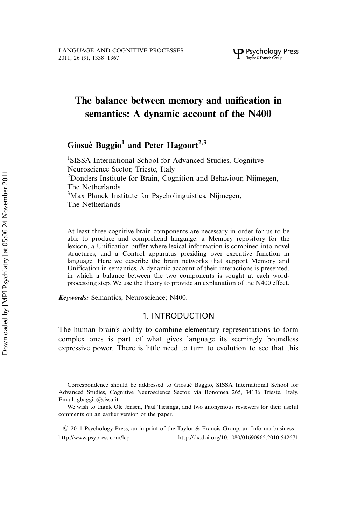## The balance between memory and unification in semantics: A dynamic account of the N400

Giosuè Baggio<sup>1</sup> and Peter Hagoort<sup>2,3</sup>

<sup>1</sup>SISSA International School for Advanced Studies, Cognitive Neuroscience Sector, Trieste, Italy <sup>2</sup>Donders Institute for Brain, Cognition and Behaviour, Nijmegen, The Netherlands <sup>3</sup>Max Planck Institute for Psycholinguistics, Nijmegen, The Netherlands

At least three cognitive brain components are necessary in order for us to be able to produce and comprehend language: a Memory repository for the lexicon, a Unification buffer where lexical information is combined into novel structures, and a Control apparatus presiding over executive function in language. Here we describe the brain networks that support Memory and Unification in semantics. A dynamic account of their interactions is presented, in which a balance between the two components is sought at each wordprocessing step. We use the theory to provide an explanation of the N400 effect.

Keywords: Semantics; Neuroscience; N400.

## 1. INTRODUCTION

The human brain's ability to combine elementary representations to form complex ones is part of what gives language its seemingly boundless expressive power. There is little need to turn to evolution to see that this

Correspondence should be addressed to Giosue` Baggio, SISSA International School for Advanced Studies, Cognitive Neuroscience Sector, via Bonomea 265, 34136 Trieste, Italy. Email: gbaggio@sissa.it

We wish to thank Ole Jensen, Paul Tiesinga, and two anonymous reviewers for their useful comments on an earlier version of the paper.

 $\odot$  2011 Psychology Press, an imprint of the Taylor & Francis Group, an Informa business [http://www.psypress.com/lcp](http://www.psypress.com/ecp)<http://dx.doi.org/10.1080/01690965.2010.542671>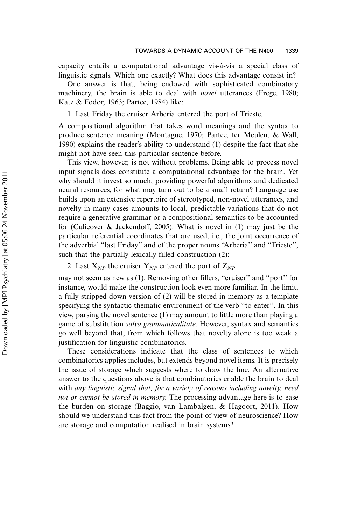capacity entails a computational advantage vis-a`-vis a special class of linguistic signals. Which one exactly? What does this advantage consist in?

One answer is that, being endowed with sophisticated combinatory machinery, the brain is able to deal with novel utterances (Frege, 1980; Katz & Fodor, 1963; Partee, 1984) like:

1. Last Friday the cruiser Arberia entered the port of Trieste.

A compositional algorithm that takes word meanings and the syntax to produce sentence meaning (Montague, 1970; Partee, ter Meulen, & Wall, 1990) explains the reader's ability to understand (1) despite the fact that she might not have seen this particular sentence before.

This view, however, is not without problems. Being able to process novel input signals does constitute a computational advantage for the brain. Yet why should it invest so much, providing powerful algorithms and dedicated neural resources, for what may turn out to be a small return? Language use builds upon an extensive repertoire of stereotyped, non-novel utterances, and novelty in many cases amounts to local, predictable variations that do not require a generative grammar or a compositional semantics to be accounted for (Culicover & Jackendoff, 2005). What is novel in (1) may just be the particular referential coordinates that are used, i.e., the joint occurrence of the adverbial ''last Friday'' and of the proper nouns ''Arberia'' and ''Trieste'', such that the partially lexically filled construction (2):

2. Last  $X_{NP}$  the cruiser  $Y_{NP}$  entered the port of  $Z_{NP}$ 

may not seem as new as (1). Removing other fillers, "cruiser" and "port" for instance, would make the construction look even more familiar. In the limit, a fully stripped-down version of (2) will be stored in memory as a template specifying the syntactic-thematic environment of the verb ''to enter''. In this view, parsing the novel sentence (1) may amount to little more than playing a game of substitution salva grammaticalitate. However, syntax and semantics go well beyond that, from which follows that novelty alone is too weak a justification for linguistic combinatorics.

These considerations indicate that the class of sentences to which combinatorics applies includes, but extends beyond novel items. It is precisely the issue of storage which suggests where to draw the line. An alternative answer to the questions above is that combinatorics enable the brain to deal with any linguistic signal that, for a variety of reasons including novelty, need not or cannot be stored in memory. The processing advantage here is to ease the burden on storage (Baggio, van Lambalgen, & Hagoort, 2011). How should we understand this fact from the point of view of neuroscience? How are storage and computation realised in brain systems?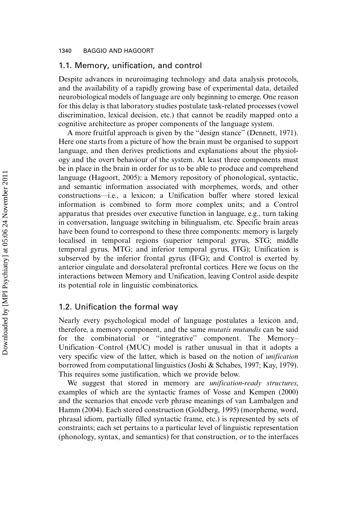## 1.1. Memory, unification, and control

Despite advances in neuroimaging technology and data analysis protocols, and the availability of a rapidly growing base of experimental data, detailed neurobiological models of language are only beginning to emerge. One reason for this delay is that laboratory studies postulate task-related processes (vowel discrimination, lexical decision, etc.) that cannot be readily mapped onto a cognitive architecture as proper components of the language system.

A more fruitful approach is given by the ''design stance'' (Dennett, 1971). Here one starts from a picture of how the brain must be organised to support language, and then derives predictions and explanations about the physiology and the overt behaviour of the system. At least three components must be in place in the brain in order for us to be able to produce and comprehend language (Hagoort, 2005): a Memory repository of phonological, syntactic, and semantic information associated with morphemes, words, and other constructions\*i.e., a lexicon; a Unification buffer where stored lexical information is combined to form more complex units; and a Control apparatus that presides over executive function in language, e.g., turn taking in conversation, language switching in bilingualism, etc. Specific brain areas have been found to correspond to these three components: memory is largely localised in temporal regions (superior temporal gyrus, STG; middle temporal gyrus, MTG; and inferior temporal gyrus, ITG); Unification is subserved by the inferior frontal gyrus (IFG); and Control is exerted by anterior cingulate and dorsolateral prefrontal cortices. Here we focus on the interactions between Memory and Unification, leaving Control aside despite its potential role in linguistic combinatorics.

## 1.2. Unification the formal way

Nearly every psychological model of language postulates a lexicon and, therefore, a memory component, and the same mutatis mutandis can be said for the combinatorial or ''integrative'' component. The Memory Unification–Control (MUC) model is rather unusual in that it adopts a very specific view of the latter, which is based on the notion of unification borrowed from computational linguistics (Joshi & Schabes, 1997; Kay, 1979). This requires some justification, which we provide below.

We suggest that stored in memory are unification-ready structures, examples of which are the syntactic frames of Vosse and Kempen (2000) and the scenarios that encode verb phrase meanings of van Lambalgen and Hamm (2004). Each stored construction (Goldberg, 1995) (morpheme, word, phrasal idiom, partially filled syntactic frame, etc.) is represented by sets of constraints; each set pertains to a particular level of linguistic representation (phonology, syntax, and semantics) for that construction, or to the interfaces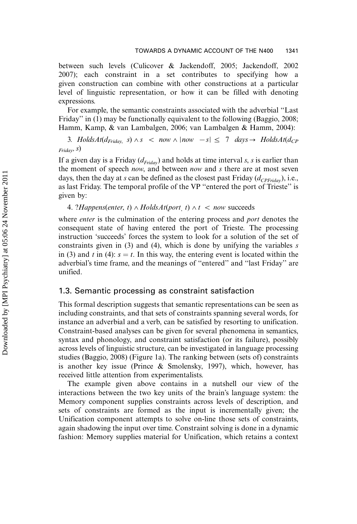between such levels (Culicover & Jackendoff, 2005; Jackendoff, 2002 2007); each constraint in a set contributes to specifying how a given construction can combine with other constructions at a particular level of linguistic representation, or how it can be filled with denoting expressions.

For example, the semantic constraints associated with the adverbial ''Last Friday'' in (1) may be functionally equivalent to the following (Baggio, 2008; Hamm, Kamp, & van Lambalgen, 2006; van Lambalgen & Hamm, 2004):

3. Holds $At(d_{Friday, s}) \wedge s$  < now  $\wedge$  |now  $-s \leq 7$  days $\rightarrow$  Holds $At(d_{CP})$ Friday, s)

If a given day is a Friday  $(d_{Fridav})$  and holds at time interval s, s is earlier than the moment of speech *now*, and between *now* and *s* there are at most seven days, then the day at s can be defined as the closest past Friday ( $d_{CPFridav}$ ), i.e., as last Friday. The temporal profile of the VP ''entered the port of Trieste'' is given by:

4. ?Happens(enter, t)  $\land$  HoldsAt(port, t)  $\land$  t < now succeeds

where *enter* is the culmination of the entering process and *port* denotes the consequent state of having entered the port of Trieste. The processing instruction 'succeeds' forces the system to look for a solution of the set of constraints given in (3) and (4), which is done by unifying the variables s in (3) and t in (4):  $s = t$ . In this way, the entering event is located within the adverbial's time frame, and the meanings of ''entered'' and ''last Friday'' are unified.

#### 1.3. Semantic processing as constraint satisfaction

This formal description suggests that semantic representations can be seen as including constraints, and that sets of constraints spanning several words, for instance an adverbial and a verb, can be satisfied by resorting to unification. Constraint-based analyses can be given for several phenomena in semantics, syntax and phonology, and constraint satisfaction (or its failure), possibly across levels of linguistic structure, can be investigated in language processing studies (Baggio, 2008) (Figure 1a). The ranking between (sets of) constraints is another key issue (Prince & Smolensky, 1997), which, however, has received little attention from experimentalists.

The example given above contains in a nutshell our view of the interactions between the two key units of the brain's language system: the Memory component supplies constraints across levels of description, and sets of constraints are formed as the input is incrementally given; the Unification component attempts to solve on-line those sets of constraints, again shadowing the input over time. Constraint solving is done in a dynamic fashion: Memory supplies material for Unification, which retains a context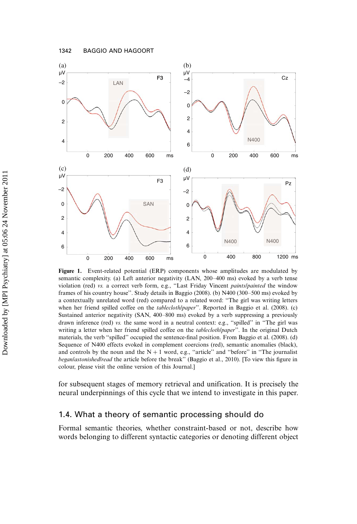

Figure 1. Event-related potential (ERP) components whose amplitudes are modulated by semantic complexity. (a) Left anterior negativity (LAN, 200-400 ms) evoked by a verb tense violation (red) vs. a correct verb form, e.g., ''Last Friday Vincent paints/painted the window frames of his country house". Study details in Baggio (2008). (b) N400 (300–500 ms) evoked by a contextually unrelated word (red) compared to a related word: ''The girl was writing letters when her friend spilled coffee on the tablecloth/paper''. Reported in Baggio et al. (2008). (c) Sustained anterior negativity  $(SAN, 400-800 \text{ ms})$  evoked by a verb suppressing a previously drawn inference (red) vs. the same word in a neutral context: e.g., ''spilled'' in ''The girl was writing a letter when her friend spilled coffee on the *tablecloth/paper*". In the original Dutch materials, the verb "spilled" occupied the sentence-final position. From Baggio et al. (2008). (d) Sequence of N400 effects evoked in complement coercions (red), semantic anomalies (black), and controls by the noun and the  $N+1$  word, e.g., "article" and "before" in "The journalist began/astonished/read the article before the break" (Baggio et al., 2010). [To view this figure in colour, please visit the online version of this Journal.]

for subsequent stages of memory retrieval and unification. It is precisely the neural underpinnings of this cycle that we intend to investigate in this paper.

## 1.4. What a theory of semantic processing should do

Formal semantic theories, whether constraint-based or not, describe how words belonging to different syntactic categories or denoting different object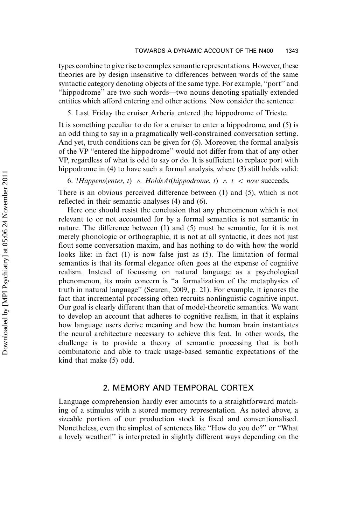types combine to give rise to complex semantic representations. However, these theories are by design insensitive to differences between words of the same syntactic category denoting objects of the same type. For example, ''port'' and "hippodrome" are two such words—two nouns denoting spatially extended entities which afford entering and other actions. Now consider the sentence:

5. Last Friday the cruiser Arberia entered the hippodrome of Trieste.

It is something peculiar to do for a cruiser to enter a hippodrome, and (5) is an odd thing to say in a pragmatically well-constrained conversation setting. And yet, truth conditions can be given for (5). Moreover, the formal analysis of the VP ''entered the hippodrome'' would not differ from that of any other VP, regardless of what is odd to say or do. It is sufficient to replace port with hippodrome in (4) to have such a formal analysis, where (3) still holds valid:

6. ?Happens(enter, t)  $\land$  HoldsAt(hippodrome, t)  $\land$  t < now succeeds.

There is an obvious perceived difference between (1) and (5), which is not reflected in their semantic analyses (4) and (6).

Here one should resist the conclusion that any phenomenon which is not relevant to or not accounted for by a formal semantics is not semantic in nature. The difference between (1) and (5) must be semantic, for it is not merely phonologic or orthographic, it is not at all syntactic, it does not just flout some conversation maxim, and has nothing to do with how the world looks like: in fact (1) is now false just as (5). The limitation of formal semantics is that its formal elegance often goes at the expense of cognitive realism. Instead of focussing on natural language as a psychological phenomenon, its main concern is ''a formalization of the metaphysics of truth in natural language'' (Seuren, 2009, p. 21). For example, it ignores the fact that incremental processing often recruits nonlinguistic cognitive input. Our goal is clearly different than that of model-theoretic semantics. We want to develop an account that adheres to cognitive realism, in that it explains how language users derive meaning and how the human brain instantiates the neural architecture necessary to achieve this feat. In other words, the challenge is to provide a theory of semantic processing that is both combinatoric and able to track usage-based semantic expectations of the kind that make (5) odd.

## 2. MEMORY AND TEMPORAL CORTEX

Language comprehension hardly ever amounts to a straightforward matching of a stimulus with a stored memory representation. As noted above, a sizeable portion of our production stock is fixed and conventionalised. Nonetheless, even the simplest of sentences like ''How do you do?'' or ''What a lovely weather!'' is interpreted in slightly different ways depending on the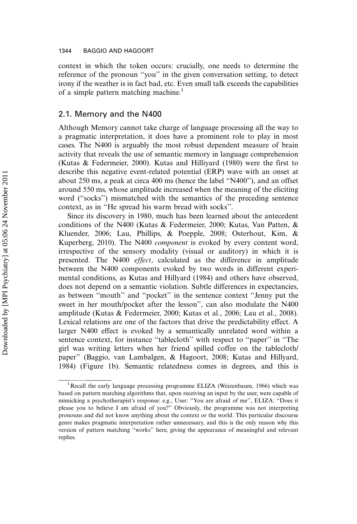context in which the token occurs: crucially, one needs to determine the reference of the pronoun ''you'' in the given conversation setting, to detect irony if the weather is in fact bad, etc. Even small talk exceeds the capabilities of a simple pattern matching machine.<sup>1</sup>

#### 2.1. Memory and the N400

Although Memory cannot take charge of language processing all the way to a pragmatic interpretation, it does have a prominent role to play in most cases. The N400 is arguably the most robust dependent measure of brain activity that reveals the use of semantic memory in language comprehension (Kutas & Federmeier, 2000). Kutas and Hilliyard (1980) were the first to describe this negative event-related potential (ERP) wave with an onset at about 250 ms, a peak at circa 400 ms (hence the label ''N400''), and an offset around 550 ms, whose amplitude increased when the meaning of the eliciting word (''socks'') mismatched with the semantics of the preceding sentence context, as in ''He spread his warm bread with socks''.

Since its discovery in 1980, much has been learned about the antecedent conditions of the N400 (Kutas & Federmeier, 2000; Kutas, Van Patten, & Kluender, 2006; Lau, Phillips, & Poepple, 2008; Osterhout, Kim, & Kuperberg, 2010). The N400 component is evoked by every content word, irrespective of the sensory modality (visual or auditory) in which it is presented. The N400 effect, calculated as the difference in amplitude between the N400 components evoked by two words in different experimental conditions, as Kutas and Hillyard (1984) and others have observed, does not depend on a semantic violation. Subtle differences in expectancies, as between ''mouth'' and ''pocket'' in the sentence context ''Jenny put the sweet in her mouth/pocket after the lesson'', can also modulate the N400 amplitude (Kutas & Federmeier, 2000; Kutas et al., 2006; Lau et al., 2008). Lexical relations are one of the factors that drive the predictability effect. A larger N400 effect is evoked by a semantically unrelated word within a sentence context, for instance "tablecloth" with respect to "paper" in "The girl was writing letters when her friend spilled coffee on the tablecloth/ paper'' (Baggio, van Lambalgen, & Hagoort, 2008; Kutas and Hillyard, 1984) (Figure 1b). Semantic relatedness comes in degrees, and this is

<sup>&</sup>lt;sup>1</sup> Recall the early language processing programme ELIZA (Weizenbaum, 1966) which was based on pattern matching algorithms that, upon receiving an input by the user, were capable of mimicking a psychotherapist's response: e.g., User: ''You are afraid of me'', ELIZA: ''Does it please you to believe I am afraid of you?'' Obviously, the programme was not interpreting pronouns and did not know anything about the context or the world. This particular discourse genre makes pragmatic interpretation rather unnecessary, and this is the only reason why this version of pattern matching ''works'' here, giving the appearance of meaningful and relevant replies.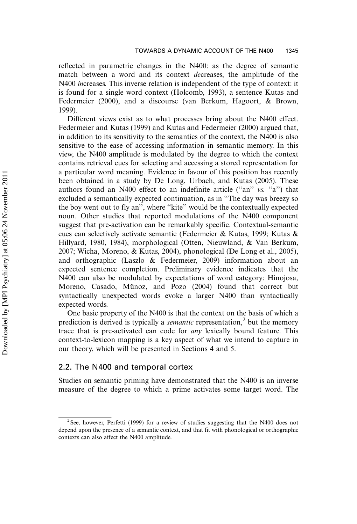reflected in parametric changes in the N400: as the degree of semantic match between a word and its context decreases, the amplitude of the N400 increases. This inverse relation is independent of the type of context: it is found for a single word context (Holcomb, 1993), a sentence Kutas and Federmeier (2000), and a discourse (van Berkum, Hagoort, & Brown, 1999).

Different views exist as to what processes bring about the N400 effect. Federmeier and Kutas (1999) and Kutas and Federmeier (2000) argued that, in addition to its sensitivity to the semantics of the context, the N400 is also sensitive to the ease of accessing information in semantic memory. In this view, the N400 amplitude is modulated by the degree to which the context contains retrieval cues for selecting and accessing a stored representation for a particular word meaning. Evidence in favour of this position has recently been obtained in a study by De Long, Urbach, and Kutas (2005). These authors found an N400 effect to an indefinite article ("an" vs. "a") that excluded a semantically expected continuation, as in ''The day was breezy so the boy went out to fly an'', where ''kite'' would be the contextually expected noun. Other studies that reported modulations of the N400 component suggest that pre-activation can be remarkably specific. Contextual-semantic cues can selectively activate semantic (Federmeier & Kutas, 1999; Kutas & Hillyard, 1980, 1984), morphological (Otten, Nieuwland, & Van Berkum, 2007; Wicha, Moreno, & Kutas, 2004), phonological (De Long et al., 2005), and orthographic (Laszlo & Federmeier, 2009) information about an expected sentence completion. Preliminary evidence indicates that the N400 can also be modulated by expectations of word category: Hinojosa, Moreno, Casado, Mũnoz, and Pozo (2004) found that correct but syntactically unexpected words evoke a larger N400 than syntactically expected words.

One basic property of the N400 is that the context on the basis of which a prediction is derived is typically a *semantic* representation,<sup>2</sup> but the memory trace that is pre-activated can code for any lexically bound feature. This context-to-lexicon mapping is a key aspect of what we intend to capture in our theory, which will be presented in Sections 4 and 5.

#### 2.2. The N400 and temporal cortex

Studies on semantic priming have demonstrated that the N400 is an inverse measure of the degree to which a prime activates some target word. The

 $2$ See, however, Perfetti (1999) for a review of studies suggesting that the N400 does not depend upon the presence of a semantic context, and that fit with phonological or orthographic contexts can also affect the N400 amplitude.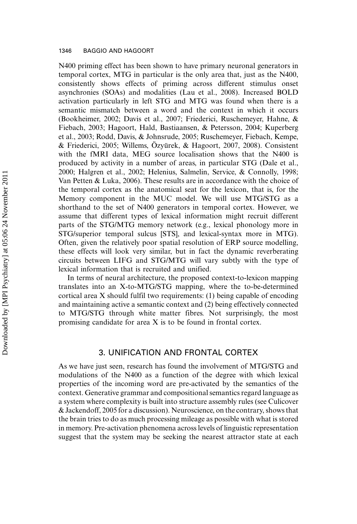N400 priming effect has been shown to have primary neuronal generators in temporal cortex, MTG in particular is the only area that, just as the N400, consistently shows effects of priming across different stimulus onset asynchronies (SOAs) and modalities (Lau et al., 2008). Increased BOLD activation particularly in left STG and MTG was found when there is a semantic mismatch between a word and the context in which it occurs (Bookheimer, 2002; Davis et al., 2007; Friederici, Ruschemeyer, Hahne, & Fiebach, 2003; Hagoort, Hald, Bastiaansen, & Petersson, 2004; Kuperberg et al., 2003; Rodd, Davis, & Johnsrude, 2005; Ruschemeyer, Fiebach, Kempe, & Friederici, 2005; Willems, Özyürek, & Hagoort, 2007, 2008). Consistent with the fMRI data, MEG source localisation shows that the N400 is produced by activity in a number of areas, in particular STG (Dale et al., 2000; Halgren et al., 2002; Helenius, Salmelin, Service, & Connolly, 1998; Van Petten & Luka, 2006). These results are in accordance with the choice of the temporal cortex as the anatomical seat for the lexicon, that is, for the Memory component in the MUC model. We will use MTG/STG as a shorthand to the set of N400 generators in temporal cortex. However, we assume that different types of lexical information might recruit different parts of the STG/MTG memory network (e.g., lexical phonology more in STG/superior temporal sulcus [STS], and lexical-syntax more in MTG). Often, given the relatively poor spatial resolution of ERP source modelling, these effects will look very similar, but in fact the dynamic reverberating circuits between LIFG and STG/MTG will vary subtly with the type of lexical information that is recruited and unified.

In terms of neural architecture, the proposed context-to-lexicon mapping translates into an X-to-MTG/STG mapping, where the to-be-determined cortical area X should fulfil two requirements: (1) being capable of encoding and maintaining active a semantic context and (2) being effectively connected to MTG/STG through white matter fibres. Not surprisingly, the most promising candidate for area X is to be found in frontal cortex.

### 3. UNIFICATION AND FRONTAL CORTEX

As we have just seen, research has found the involvement of MTG/STG and modulations of the N400 as a function of the degree with which lexical properties of the incoming word are pre-activated by the semantics of the context. Generative grammar and compositional semantics regard language as a system where complexity is built into structure assembly rules (see Culicover & Jackendoff, 2005 for a discussion). Neuroscience, on the contrary, shows that the brain tries to do as much processing mileage as possible with what is stored in memory. Pre-activation phenomena across levels of linguistic representation suggest that the system may be seeking the nearest attractor state at each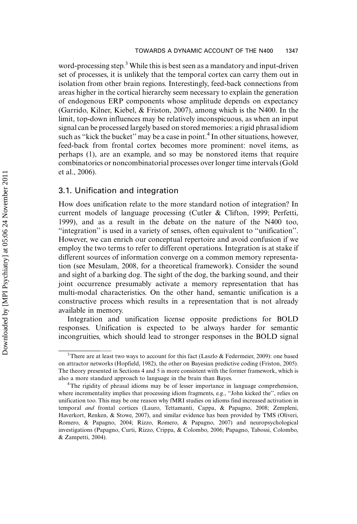word-processing step.<sup>3</sup> While this is best seen as a mandatory and input-driven set of processes, it is unlikely that the temporal cortex can carry them out in isolation from other brain regions. Interestingly, feed-back connections from areas higher in the cortical hierarchy seem necessary to explain the generation of endogenous ERP components whose amplitude depends on expectancy (Garrido, Kilner, Kiebel, & Friston, 2007), among which is the N400. In the limit, top-down influences may be relatively inconspicuous, as when an input signal can be processed largely based on stored memories: a rigid phrasal idiom such as "kick the bucket" may be a case in point.<sup>4</sup> In other situations, however, feed-back from frontal cortex becomes more prominent: novel items, as perhaps (1), are an example, and so may be nonstored items that require combinatorics or noncombinatorial processes over longer time intervals (Gold et al., 2006).

#### 3.1. Unification and integration

How does unification relate to the more standard notion of integration? In current models of language processing (Cutler & Clifton, 1999; Perfetti, 1999), and as a result in the debate on the nature of the N400 too, ''integration'' is used in a variety of senses, often equivalent to ''unification''. However, we can enrich our conceptual repertoire and avoid confusion if we employ the two terms to refer to different operations. Integration is at stake if different sources of information converge on a common memory representation (see Mesulam, 2008, for a theoretical framework). Consider the sound and sight of a barking dog. The sight of the dog, the barking sound, and their joint occurrence presumably activate a memory representation that has multi-modal characteristics. On the other hand, semantic unification is a constructive process which results in a representation that is not already available in memory.

Integration and unification license opposite predictions for BOLD responses. Unification is expected to be always harder for semantic incongruities, which should lead to stronger responses in the BOLD signal

<sup>&</sup>lt;sup>3</sup>There are at least two ways to account for this fact (Laszlo  $\&$  Federmeier, 2009): one based on attractor networks (Hopfield, 1982), the other on Bayesian predictive coding (Friston, 2005). The theory presented in Sections 4 and 5 is more consistent with the former framework, which is also a more standard approach to language in the brain than Bayes.

<sup>&</sup>lt;sup>4</sup>The rigidity of phrasal idioms may be of lesser importance in language comprehension, where incrementality implies that processing idiom fragments, e.g., ''John kicked the'', relies on unification too. This may be one reason why fMRI studies on idioms find increased activation in temporal and frontal cortices (Lauro, Tettamanti, Cappa, & Papagno, 2008; Zempleni, Haverkort, Renken, & Stowe, 2007), and similar evidence has been provided by TMS (Oliveri, Romero, & Papagno, 2004; Rizzo, Romero, & Papagno, 2007) and neuropsychological investigations (Papagno, Curti, Rizzo, Crippa, & Colombo, 2006; Papagno, Tabossi, Colombo, & Zampetti, 2004).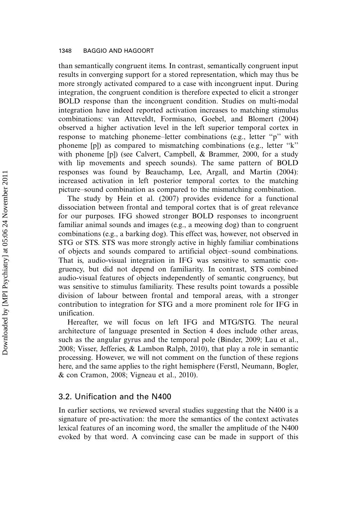than semantically congruent items. In contrast, semantically congruent input results in converging support for a stored representation, which may thus be more strongly activated compared to a case with incongruent input. During integration, the congruent condition is therefore expected to elicit a stronger BOLD response than the incongruent condition. Studies on multi-modal integration have indeed reported activation increases to matching stimulus combinations: van Atteveldt, Formisano, Goebel, and Blomert (2004) observed a higher activation level in the left superior temporal cortex in response to matching phoneme-letter combinations (e.g., letter " $p$ " with phoneme [p]) as compared to mismatching combinations (e.g., letter ''k'' with phoneme [p]) (see Calvert, Campbell, & Brammer, 2000, for a study with lip movements and speech sounds). The same pattern of BOLD responses was found by Beauchamp, Lee, Argall, and Martin (2004): increased activation in left posterior temporal cortex to the matching picture-sound combination as compared to the mismatching combination.

The study by Hein et al. (2007) provides evidence for a functional dissociation between frontal and temporal cortex that is of great relevance for our purposes. IFG showed stronger BOLD responses to incongruent familiar animal sounds and images (e.g., a meowing dog) than to congruent combinations (e.g., a barking dog). This effect was, however, not observed in STG or STS. STS was more strongly active in highly familiar combinations of objects and sounds compared to artificial object-sound combinations. That is, audio-visual integration in IFG was sensitive to semantic congruency, but did not depend on familiarity. In contrast, STS combined audio-visual features of objects independently of semantic congruency, but was sensitive to stimulus familiarity. These results point towards a possible division of labour between frontal and temporal areas, with a stronger contribution to integration for STG and a more prominent role for IFG in unification.

Hereafter, we will focus on left IFG and MTG/STG. The neural architecture of language presented in Section 4 does include other areas, such as the angular gyrus and the temporal pole (Binder, 2009; Lau et al., 2008; Visser, Jefferies, & Lambon Ralph, 2010), that play a role in semantic processing. However, we will not comment on the function of these regions here, and the same applies to the right hemisphere (Ferstl, Neumann, Bogler, & con Cramon, 2008; Vigneau et al., 2010).

## 3.2. Unification and the N400

In earlier sections, we reviewed several studies suggesting that the N400 is a signature of pre-activation: the more the semantics of the context activates lexical features of an incoming word, the smaller the amplitude of the N400 evoked by that word. A convincing case can be made in support of this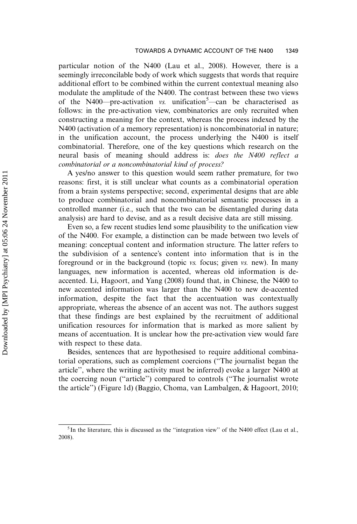particular notion of the N400 (Lau et al., 2008). However, there is a seemingly irreconcilable body of work which suggests that words that require additional effort to be combined within the current contextual meaning also modulate the amplitude of the N400. The contrast between these two views of the N400—pre-activation vs. unification<sup>5</sup>—can be characterised as follows: in the pre-activation view, combinatorics are only recruited when constructing a meaning for the context, whereas the process indexed by the N400 (activation of a memory representation) is noncombinatorial in nature; in the unification account, the process underlying the N400 is itself combinatorial. Therefore, one of the key questions which research on the neural basis of meaning should address is: does the N400 reflect a combinatorial or a noncombinatorial kind of process?

A yes/no answer to this question would seem rather premature, for two reasons: first, it is still unclear what counts as a combinatorial operation from a brain systems perspective; second, experimental designs that are able to produce combinatorial and noncombinatorial semantic processes in a controlled manner (i.e., such that the two can be disentangled during data analysis) are hard to devise, and as a result decisive data are still missing.

Even so, a few recent studies lend some plausibility to the unification view of the N400. For example, a distinction can be made between two levels of meaning: conceptual content and information structure. The latter refers to the subdivision of a sentence's content into information that is in the foreground or in the background (topic vs. focus; given vs. new). In many languages, new information is accented, whereas old information is deaccented. Li, Hagoort, and Yang (2008) found that, in Chinese, the N400 to new accented information was larger than the N400 to new de-accented information, despite the fact that the accentuation was contextually appropriate, whereas the absence of an accent was not. The authors suggest that these findings are best explained by the recruitment of additional unification resources for information that is marked as more salient by means of accentuation. It is unclear how the pre-activation view would fare with respect to these data.

Besides, sentences that are hypothesised to require additional combinatorial operations, such as complement coercions (''The journalist began the article'', where the writing activity must be inferred) evoke a larger N400 at the coercing noun (''article'') compared to controls (''The journalist wrote the article'') (Figure 1d) (Baggio, Choma, van Lambalgen, & Hagoort, 2010;

 $<sup>5</sup>$  In the literature, this is discussed as the "integration view" of the N400 effect (Lau et al.,</sup> 2008).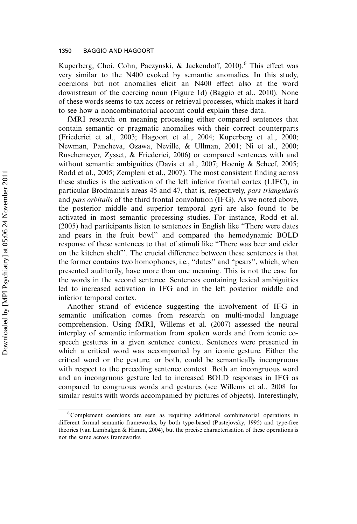Kuperberg, Choi, Cohn, Paczynski, & Jackendoff, 2010).<sup>6</sup> This effect was very similar to the N400 evoked by semantic anomalies. In this study, coercions but not anomalies elicit an N400 effect also at the word downstream of the coercing noun (Figure 1d) (Baggio et al., 2010). None of these words seems to tax access or retrieval processes, which makes it hard to see how a noncombinatorial account could explain these data.

fMRI research on meaning processing either compared sentences that contain semantic or pragmatic anomalies with their correct counterparts (Friederici et al., 2003; Hagoort et al., 2004; Kuperberg et al., 2000; Newman, Pancheva, Ozawa, Neville, & Ullman, 2001; Ni et al., 2000; Ruschemeyer, Zysset, & Friederici, 2006) or compared sentences with and without semantic ambiguities (Davis et al., 2007; Hoenig & Scheef, 2005; Rodd et al., 2005; Zempleni et al., 2007). The most consistent finding across these studies is the activation of the left inferior frontal cortex (LIFC), in particular Brodmann's areas 45 and 47, that is, respectively, pars triangularis and pars orbitalis of the third frontal convolution (IFG). As we noted above, the posterior middle and superior temporal gyri are also found to be activated in most semantic processing studies. For instance, Rodd et al. (2005) had participants listen to sentences in English like ''There were dates and pears in the fruit bowl'' and compared the hemodynamic BOLD response of these sentences to that of stimuli like ''There was beer and cider on the kitchen shelf''. The crucial difference between these sentences is that the former contains two homophones, i.e., ''dates'' and ''pears'', which, when presented auditorily, have more than one meaning. This is not the case for the words in the second sentence. Sentences containing lexical ambiguities led to increased activation in IFG and in the left posterior middle and inferior temporal cortex.

Another strand of evidence suggesting the involvement of IFG in semantic unification comes from research on multi-modal language comprehension. Using fMRI, Willems et al. (2007) assessed the neural interplay of semantic information from spoken words and from iconic cospeech gestures in a given sentence context. Sentences were presented in which a critical word was accompanied by an iconic gesture. Either the critical word or the gesture, or both, could be semantically incongruous with respect to the preceding sentence context. Both an incongruous word and an incongruous gesture led to increased BOLD responses in IFG as compared to congruous words and gestures (see Willems et al., 2008 for similar results with words accompanied by pictures of objects). Interestingly,

<sup>&</sup>lt;sup>6</sup>Complement coercions are seen as requiring additional combinatorial operations in different formal semantic frameworks, by both type-based (Pustejovsky, 1995) and type-free theories (van Lambalgen & Hamm, 2004), but the precise characterisation of these operations is not the same across frameworks.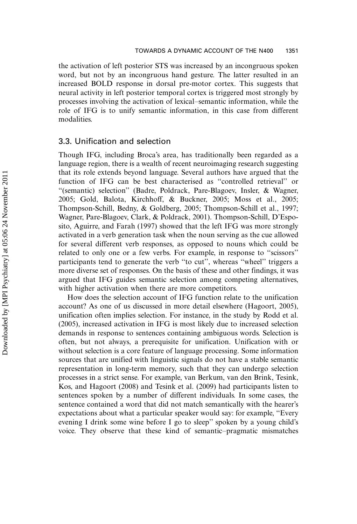the activation of left posterior STS was increased by an incongruous spoken word, but not by an incongruous hand gesture. The latter resulted in an increased BOLD response in dorsal pre-motor cortex. This suggests that neural activity in left posterior temporal cortex is triggered most strongly by processes involving the activation of lexical-semantic information, while the role of IFG is to unify semantic information, in this case from different modalities.

#### 3.3. Unification and selection

Though IFG, including Broca's area, has traditionally been regarded as a language region, there is a wealth of recent neuroimaging research suggesting that its role extends beyond language. Several authors have argued that the function of IFG can be best characterised as ''controlled retrieval'' or ''(semantic) selection'' (Badre, Poldrack, Pare-Blagoev, Insler, & Wagner, 2005; Gold, Balota, Kirchhoff, & Buckner, 2005; Moss et al., 2005; Thompson-Schill, Bedny, & Goldberg, 2005; Thompson-Schill et al., 1997; Wagner, Pare-Blagoev, Clark, & Poldrack, 2001). Thompson-Schill, D'Esposito, Aguirre, and Farah (1997) showed that the left IFG was more strongly activated in a verb generation task when the noun serving as the cue allowed for several different verb responses, as opposed to nouns which could be related to only one or a few verbs. For example, in response to ''scissors'' participants tend to generate the verb "to cut", whereas "wheel" triggers a more diverse set of responses. On the basis of these and other findings, it was argued that IFG guides semantic selection among competing alternatives, with higher activation when there are more competitors.

How does the selection account of IFG function relate to the unification account? As one of us discussed in more detail elsewhere (Hagoort, 2005), unification often implies selection. For instance, in the study by Rodd et al. (2005), increased activation in IFG is most likely due to increased selection demands in response to sentences containing ambiguous words. Selection is often, but not always, a prerequisite for unification. Unification with or without selection is a core feature of language processing. Some information sources that are unified with linguistic signals do not have a stable semantic representation in long-term memory, such that they can undergo selection processes in a strict sense. For example, van Berkum, van den Brink, Tesink, Kos, and Hagoort (2008) and Tesink et al. (2009) had participants listen to sentences spoken by a number of different individuals. In some cases, the sentence contained a word that did not match semantically with the hearer's expectations about what a particular speaker would say: for example, ''Every evening I drink some wine before I go to sleep'' spoken by a young child's voice. They observe that these kind of semantic-pragmatic mismatches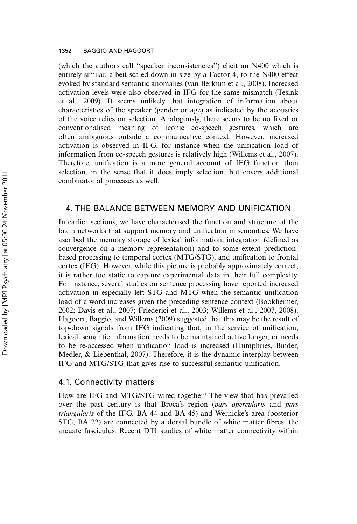(which the authors call ''speaker inconsistencies'') elicit an N400 which is entirely similar, albeit scaled down in size by a Factor 4, to the N400 effect evoked by standard semantic anomalies (van Berkum et al., 2008). Increased activation levels were also observed in IFG for the same mismatch (Tesink et al., 2009). It seems unlikely that integration of information about characteristics of the speaker (gender or age) as indicated by the acoustics of the voice relies on selection. Analogously, there seems to be no fixed or conventionalised meaning of iconic co-speech gestures, which are often ambiguous outside a communicative context. However, increased activation is observed in IFG, for instance when the unification load of information from co-speech gestures is relatively high (Willems et al., 2007). Therefore, unification is a more general account of IFG function than selection, in the sense that it does imply selection, but covers additional combinatorial processes as well.

## 4. THE BALANCE BETWEEN MEMORY AND UNIFICATION

In earlier sections, we have characterised the function and structure of the brain networks that support memory and unification in semantics. We have ascribed the memory storage of lexical information, integration (defined as convergence on a memory representation) and to some extent predictionbased processing to temporal cortex (MTG/STG), and unification to frontal cortex (IFG). However, while this picture is probably approximately correct, it is rather too static to capture experimental data in their full complexity. For instance, several studies on sentence processing have reported increased activation in especially left STG and MTG when the semantic unification load of a word increases given the preceding sentence context (Bookheimer, 2002; Davis et al., 2007; Friederici et al., 2003; Willems et al., 2007, 2008). Hagoort, Baggio, and Willems (2009) suggested that this may be the result of top-down signals from IFG indicating that, in the service of unification, lexical–semantic information needs to be maintained active longer, or needs to be re-accessed when unification load is increased (Humphries, Binder, Medler, & Liebenthal, 2007). Therefore, it is the dynamic interplay between IFG and MTG/STG that gives rise to successful semantic unification.

#### 4.1. Connectivity matters

How are IFG and MTG/STG wired together? The view that has prevailed over the past century is that Broca's region (pars opercularis and pars triangularis of the IFG, BA 44 and BA 45) and Wernicke's area (posterior STG, BA 22) are connected by a dorsal bundle of white matter fibres: the arcuate fasciculus. Recent DTI studies of white matter connectivity within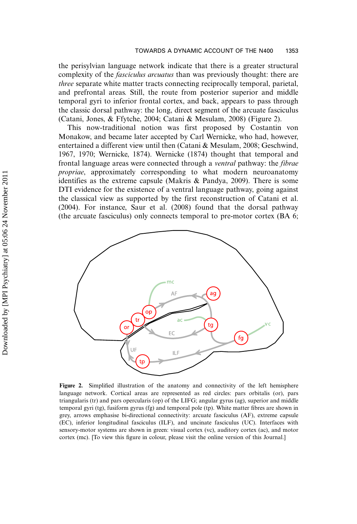the perisylvian language network indicate that there is a greater structural complexity of the fasciculus arcuatus than was previously thought: there are three separate white matter tracts connecting reciprocally temporal, parietal, and prefrontal areas. Still, the route from posterior superior and middle temporal gyri to inferior frontal cortex, and back, appears to pass through the classic dorsal pathway: the long, direct segment of the arcuate fasciculus (Catani, Jones, & Ffytche, 2004; Catani & Mesulam, 2008) (Figure 2).

This now-traditional notion was first proposed by Costantin von Monakow, and became later accepted by Carl Wernicke, who had, however, entertained a different view until then (Catani & Mesulam, 2008; Geschwind, 1967, 1970; Wernicke, 1874). Wernicke (1874) thought that temporal and frontal language areas were connected through a ventral pathway: the fibrae propriae, approximately corresponding to what modern neuroanatomy identifies as the extreme capsule (Makris & Pandya, 2009). There is some DTI evidence for the existence of a ventral language pathway, going against the classical view as supported by the first reconstruction of Catani et al. (2004). For instance, Saur et al. (2008) found that the dorsal pathway (the arcuate fasciculus) only connects temporal to pre-motor cortex (BA 6;



Figure 2. Simplified illustration of the anatomy and connectivity of the left hemisphere language network. Cortical areas are represented as red circles: pars orbitalis (or), pars triangularis (tr) and pars opercularis (op) of the LIFG; angular gyrus (ag), superior and middle temporal gyri (tg), fusiform gyrus (fg) and temporal pole (tp). White matter fibres are shown in grey, arrows emphasise bi-directional connectivity: arcuate fasciculus (AF), extreme capsule (EC), inferior longitudinal fasciculus (ILF), and uncinate fasciculus (UC). Interfaces with sensory-motor systems are shown in green: visual cortex (vc), auditory cortex (ac), and motor cortex (mc). [To view this figure in colour, please visit the online version of this Journal.]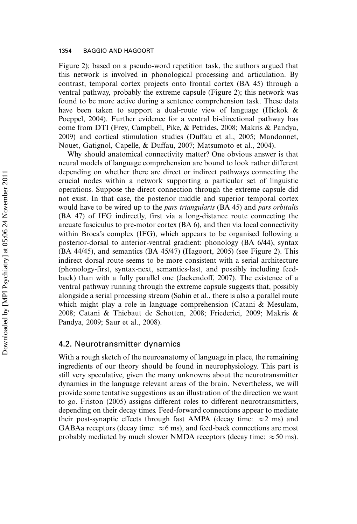Figure 2); based on a pseudo-word repetition task, the authors argued that this network is involved in phonological processing and articulation. By contrast, temporal cortex projects onto frontal cortex (BA 45) through a ventral pathway, probably the extreme capsule (Figure 2); this network was found to be more active during a sentence comprehension task. These data have been taken to support a dual-route view of language (Hickok & Poeppel, 2004). Further evidence for a ventral bi-directional pathway has come from DTI (Frey, Campbell, Pike, & Petrides, 2008; Makris & Pandya, 2009) and cortical stimulation studies (Duffau et al., 2005; Mandonnet, Nouet, Gatignol, Capelle, & Duffau, 2007; Matsumoto et al., 2004).

Why should anatomical connectivity matter? One obvious answer is that neural models of language comprehension are bound to look rather different depending on whether there are direct or indirect pathways connecting the crucial nodes within a network supporting a particular set of linguistic operations. Suppose the direct connection through the extreme capsule did not exist. In that case, the posterior middle and superior temporal cortex would have to be wired up to the *pars triangularis* (BA 45) and *pars orbitalis* (BA 47) of IFG indirectly, first via a long-distance route connecting the arcuate fasciculus to pre-motor cortex (BA 6), and then via local connectivity within Broca's complex (IFG), which appears to be organised following a posterior-dorsal to anterior-ventral gradient: phonology (BA 6/44), syntax (BA 44/45), and semantics (BA 45/47) (Hagoort, 2005) (see Figure 2). This indirect dorsal route seems to be more consistent with a serial architecture (phonology-first, syntax-next, semantics-last, and possibly including feedback) than with a fully parallel one (Jackendoff, 2007). The existence of a ventral pathway running through the extreme capsule suggests that, possibly alongside a serial processing stream (Sahin et al., there is also a parallel route which might play a role in language comprehension (Catani & Mesulam, 2008; Catani & Thiebaut de Schotten, 2008; Friederici, 2009; Makris & Pandya, 2009; Saur et al., 2008).

#### 4.2. Neurotransmitter dynamics

With a rough sketch of the neuroanatomy of language in place, the remaining ingredients of our theory should be found in neurophysiology. This part is still very speculative, given the many unknowns about the neurotransmitter dynamics in the language relevant areas of the brain. Nevertheless, we will provide some tentative suggestions as an illustration of the direction we want to go. Friston (2005) assigns different roles to different neurotransmitters, depending on their decay times. Feed-forward connections appear to mediate their post-synaptic effects through fast AMPA (decay time:  $\approx$  2 ms) and GABAa receptors (decay time:  $\approx$  6 ms), and feed-back connections are most probably mediated by much slower NMDA receptors (decay time:  $\approx$  50 ms).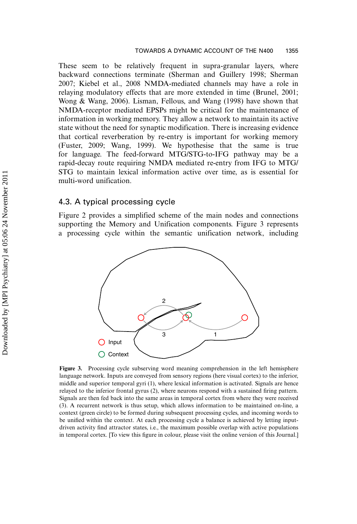These seem to be relatively frequent in supra-granular layers, where backward connections terminate (Sherman and Guillery 1998; Sherman 2007; Kiebel et al., 2008 NMDA-mediated channels may have a role in relaying modulatory effects that are more extended in time (Brunel, 2001; Wong & Wang, 2006). Lisman, Fellous, and Wang (1998) have shown that NMDA-receptor mediated EPSPs might be critical for the maintenance of information in working memory. They allow a network to maintain its active state without the need for synaptic modification. There is increasing evidence that cortical reverberation by re-entry is important for working memory (Fuster, 2009; Wang, 1999). We hypothesise that the same is true for language. The feed-forward MTG/STG-to-IFG pathway may be a rapid-decay route requiring NMDA mediated re-entry from IFG to MTG/ STG to maintain lexical information active over time, as is essential for multi-word unification.

## 4.3. A typical processing cycle

Figure 2 provides a simplified scheme of the main nodes and connections supporting the Memory and Unification components. Figure 3 represents a processing cycle within the semantic unification network, including



Figure 3. Processing cycle subserving word meaning comprehension in the left hemisphere language network. Inputs are conveyed from sensory regions (here visual cortex) to the inferior, middle and superior temporal gyri (1), where lexical information is activated. Signals are hence relayed to the inferior frontal gyrus (2), where neurons respond with a sustained firing pattern. Signals are then fed back into the same areas in temporal cortex from where they were received (3). A recurrent network is thus setup, which allows information to be maintained on-line, a context (green circle) to be formed during subsequent processing cycles, and incoming words to be unified within the context. At each processing cycle a balance is achieved by letting inputdriven activity find attractor states, i.e., the maximum possible overlap with active populations in temporal cortex. [To view this figure in colour, please visit the online version of this Journal.]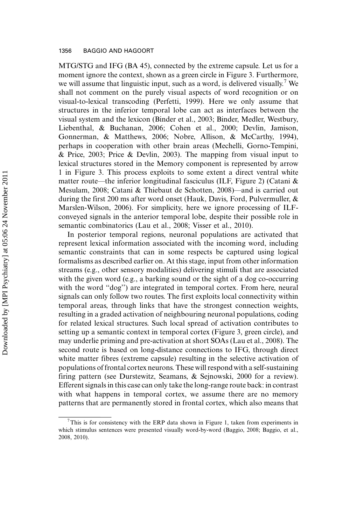MTG/STG and IFG (BA 45), connected by the extreme capsule. Let us for a moment ignore the context, shown as a green circle in Figure 3. Furthermore, we will assume that linguistic input, such as a word, is delivered visually.<sup>7</sup> We shall not comment on the purely visual aspects of word recognition or on visual-to-lexical transcoding (Perfetti, 1999). Here we only assume that structures in the inferior temporal lobe can act as interfaces between the visual system and the lexicon (Binder et al., 2003; Binder, Medler, Westbury, Liebenthal, & Buchanan, 2006; Cohen et al., 2000; Devlin, Jamison, Gonnerman, & Matthews, 2006; Nobre, Allison, & McCarthy, 1994), perhaps in cooperation with other brain areas (Mechelli, Gorno-Tempini, & Price, 2003; Price & Devlin, 2003). The mapping from visual input to lexical structures stored in the Memory component is represented by arrow 1 in Figure 3. This process exploits to some extent a direct ventral white matter route—the inferior longitudinal fasciculus (ILF, Figure 2) (Catani  $\&$ Mesulam, 2008; Catani & Thiebaut de Schotten, 2008)—and is carried out during the first 200 ms after word onset (Hauk, Davis, Ford, Pulvermuller, & Marslen-Wilson, 2006). For simplicity, here we ignore processing of ILFconveyed signals in the anterior temporal lobe, despite their possible role in semantic combinatorics (Lau et al., 2008; Visser et al., 2010).

In posterior temporal regions, neuronal populations are activated that represent lexical information associated with the incoming word, including semantic constraints that can in some respects be captured using logical formalisms as described earlier on. At this stage, input from other information streams (e.g., other sensory modalities) delivering stimuli that are associated with the given word (e.g., a barking sound or the sight of a dog co-occurring with the word "dog") are integrated in temporal cortex. From here, neural signals can only follow two routes. The first exploits local connectivity within temporal areas, through links that have the strongest connection weights, resulting in a graded activation of neighbouring neuronal populations, coding for related lexical structures. Such local spread of activation contributes to setting up a semantic context in temporal cortex (Figure 3, green circle), and may underlie priming and pre-activation at short SOAs (Lau et al., 2008). The second route is based on long-distance connections to IFG, through direct white matter fibres (extreme capsule) resulting in the selective activation of populations of frontal cortex neurons. These will respondwith a self-sustaining firing pattern (see Durstewitz, Seamans, & Sejnowski, 2000 for a review). Efferent signals in this case can only take the long-range route back: in contrast with what happens in temporal cortex, we assume there are no memory patterns that are permanently stored in frontal cortex, which also means that

 $7$ This is for consistency with the ERP data shown in Figure 1, taken from experiments in which stimulus sentences were presented visually word-by-word (Baggio, 2008; Baggio, et al., 2008, 2010).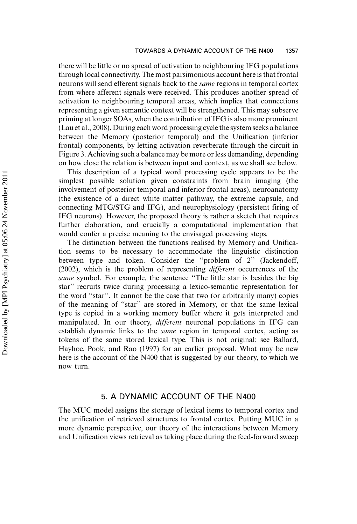there will be little or no spread of activation to neighbouring IFG populations through local connectivity. The most parsimonious account here is that frontal neurons will send efferent signals back to the same regions in temporal cortex from where afferent signals were received. This produces another spread of activation to neighbouring temporal areas, which implies that connections representing a given semantic context will be strengthened. This may subserve priming at longer SOAs, when the contribution of IFG is also more prominent (Lau et al., 2008). During each word processing cycle the system seeks abalance between the Memory (posterior temporal) and the Unification (inferior frontal) components, by letting activation reverberate through the circuit in Figure 3. Achieving such a balance may be more or less demanding, depending on how close the relation is between input and context, as we shall see below.

This description of a typical word processing cycle appears to be the simplest possible solution given constraints from brain imaging (the involvement of posterior temporal and inferior frontal areas), neuroanatomy (the existence of a direct white matter pathway, the extreme capsule, and connecting MTG/STG and IFG), and neurophysiology (persistent firing of IFG neurons). However, the proposed theory is rather a sketch that requires further elaboration, and crucially a computational implementation that would confer a precise meaning to the envisaged processing steps.

The distinction between the functions realised by Memory and Unification seems to be necessary to accommodate the linguistic distinction between type and token. Consider the ''problem of 2'' (Jackendoff, (2002), which is the problem of representing different occurrences of the same symbol. For example, the sentence "The little star is besides the big star'' recruits twice during processing a lexico-semantic representation for the word ''star''. It cannot be the case that two (or arbitrarily many) copies of the meaning of ''star'' are stored in Memory, or that the same lexical type is copied in a working memory buffer where it gets interpreted and manipulated. In our theory, *different* neuronal populations in IFG can establish dynamic links to the same region in temporal cortex, acting as tokens of the same stored lexical type. This is not original: see Ballard, Hayhoe, Pook, and Rao (1997) for an earlier proposal. What may be new here is the account of the N400 that is suggested by our theory, to which we now turn.

## 5. A DYNAMIC ACCOUNT OF THE N400

The MUC model assigns the storage of lexical items to temporal cortex and the unification of retrieved structures to frontal cortex. Putting MUC in a more dynamic perspective, our theory of the interactions between Memory and Unification views retrieval as taking place during the feed-forward sweep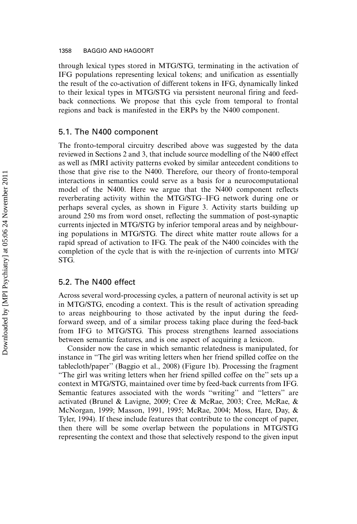through lexical types stored in MTG/STG, terminating in the activation of IFG populations representing lexical tokens; and unification as essentially the result of the co-activation of different tokens in IFG, dynamically linked to their lexical types in MTG/STG via persistent neuronal firing and feedback connections. We propose that this cycle from temporal to frontal regions and back is manifested in the ERPs by the N400 component.

## 5.1. The N400 component

The fronto-temporal circuitry described above was suggested by the data reviewed in Sections 2 and 3, that include source modelling of the N400 effect as well as fMRI activity patterns evoked by similar antecedent conditions to those that give rise to the N400. Therefore, our theory of fronto-temporal interactions in semantics could serve as a basis for a neurocomputational model of the N400. Here we argue that the N400 component reflects reverberating activity within the MTG/STG-IFG network during one or perhaps several cycles, as shown in Figure 3. Activity starts building up around 250 ms from word onset, reflecting the summation of post-synaptic currents injected in MTG/STG by inferior temporal areas and by neighbouring populations in MTG/STG. The direct white matter route allows for a rapid spread of activation to IFG. The peak of the N400 coincides with the completion of the cycle that is with the re-injection of currents into MTG/ STG.

## 5.2. The N400 effect

Across several word-processing cycles, a pattern of neuronal activity is set up in MTG/STG, encoding a context. This is the result of activation spreading to areas neighbouring to those activated by the input during the feedforward sweep, and of a similar process taking place during the feed-back from IFG to MTG/STG. This process strengthens learned associations between semantic features, and is one aspect of acquiring a lexicon.

Consider now the case in which semantic relatedness is manipulated, for instance in ''The girl was writing letters when her friend spilled coffee on the tablecloth/paper'' (Baggio et al., 2008) (Figure 1b). Processing the fragment ''The girl was writing letters when her friend spilled coffee on the'' sets up a context in MTG/STG, maintained over time by feed-back currents from IFG. Semantic features associated with the words ''writing'' and ''letters'' are activated (Brunel & Lavigne, 2009; Cree & McRae, 2003; Cree, McRae, & McNorgan, 1999; Masson, 1991, 1995; McRae, 2004; Moss, Hare, Day, & Tyler, 1994). If these include features that contribute to the concept of paper, then there will be some overlap between the populations in MTG/STG representing the context and those that selectively respond to the given input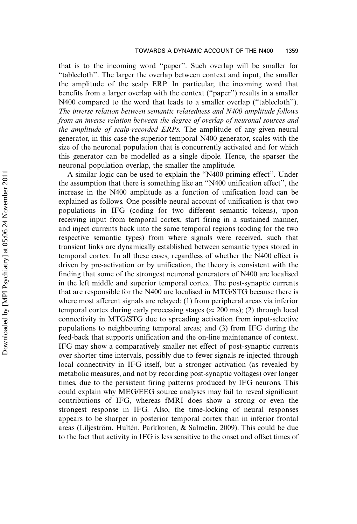that is to the incoming word ''paper''. Such overlap will be smaller for ''tablecloth''. The larger the overlap between context and input, the smaller the amplitude of the scalp ERP. In particular, the incoming word that benefits from a larger overlap with the context (''paper'') results in a smaller N400 compared to the word that leads to a smaller overlap (''tablecloth''). The inverse relation between semantic relatedness and N400 amplitude follows from an inverse relation between the degree of overlap of neuronal sources and the amplitude of scalp-recorded ERPs. The amplitude of any given neural generator, in this case the superior temporal N400 generator, scales with the size of the neuronal population that is concurrently activated and for which this generator can be modelled as a single dipole. Hence, the sparser the neuronal population overlap, the smaller the amplitude.

A similar logic can be used to explain the ''N400 priming effect''. Under the assumption that there is something like an ''N400 unification effect'', the increase in the N400 amplitude as a function of unification load can be explained as follows. One possible neural account of unification is that two populations in IFG (coding for two different semantic tokens), upon receiving input from temporal cortex, start firing in a sustained manner, and inject currents back into the same temporal regions (coding for the two respective semantic types) from where signals were received, such that transient links are dynamically established between semantic types stored in temporal cortex. In all these cases, regardless of whether the N400 effect is driven by pre-activation or by unification, the theory is consistent with the finding that some of the strongest neuronal generators of N400 are localised in the left middle and superior temporal cortex. The post-synaptic currents that are responsible for the N400 are localised in MTG/STG because there is where most afferent signals are relayed: (1) from peripheral areas via inferior temporal cortex during early processing stages ( $\approx 200$  ms); (2) through local connectivity in MTG/STG due to spreading activation from input-selective populations to neighbouring temporal areas; and (3) from IFG during the feed-back that supports unification and the on-line maintenance of context. IFG may show a comparatively smaller net effect of post-synaptic currents over shorter time intervals, possibly due to fewer signals re-injected through local connectivity in IFG itself, but a stronger activation (as revealed by metabolic measures, and not by recording post-synaptic voltages) over longer times, due to the persistent firing patterns produced by IFG neurons. This could explain why MEG/EEG source analyses may fail to reveal significant contributions of IFG, whereas fMRI does show a strong or even the strongest response in IFG. Also, the time-locking of neural responses appears to be sharper in posterior temporal cortex than in inferior frontal areas (Liljeström, Hultén, Parkkonen, & Salmelin, 2009). This could be due to the fact that activity in IFG is less sensitive to the onset and offset times of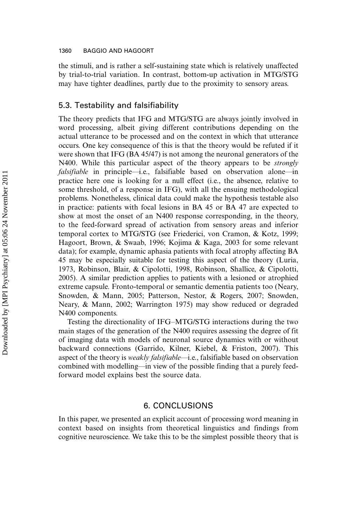the stimuli, and is rather a self-sustaining state which is relatively unaffected by trial-to-trial variation. In contrast, bottom-up activation in MTG/STG may have tighter deadlines, partly due to the proximity to sensory areas.

## 5.3. Testability and falsifiability

The theory predicts that IFG and MTG/STG are always jointly involved in word processing, albeit giving different contributions depending on the actual utterance to be processed and on the context in which that utterance occurs. One key consequence of this is that the theory would be refuted if it were shown that IFG (BA 45/47) is not among the neuronal generators of the N400. While this particular aspect of the theory appears to be strongly  $falsifiable$  in principle—i.e., falsifiable based on observation alone—in practice here one is looking for a null effect (i.e., the absence, relative to some threshold, of a response in IFG), with all the ensuing methodological problems. Nonetheless, clinical data could make the hypothesis testable also in practice: patients with focal lesions in BA 45 or BA 47 are expected to show at most the onset of an N400 response corresponding, in the theory, to the feed-forward spread of activation from sensory areas and inferior temporal cortex to MTG/STG (see Friederici, von Cramon, & Kotz, 1999; Hagoort, Brown, & Swaab, 1996; Kojima & Kaga, 2003 for some relevant data); for example, dynamic aphasia patients with focal atrophy affecting BA 45 may be especially suitable for testing this aspect of the theory (Luria, 1973, Robinson, Blair, & Cipolotti, 1998, Robinson, Shallice, & Cipolotti, 2005). A similar prediction applies to patients with a lesioned or atrophied extreme capsule. Fronto-temporal or semantic dementia patients too (Neary, Snowden, & Mann, 2005; Patterson, Nestor, & Rogers, 2007; Snowden, Neary, & Mann, 2002; Warrington 1975) may show reduced or degraded N400 components.

Testing the directionality of IFG-MTG/STG interactions during the two main stages of the generation of the N400 requires assessing the degree of fit of imaging data with models of neuronal source dynamics with or without backward connections (Garrido, Kilner, Kiebel, & Friston, 2007). This aspect of the theory is *weakly falsifiable*—i.e., falsifiable based on observation combined with modelling—in view of the possible finding that a purely feedforward model explains best the source data.

## 6. CONCLUSIONS

In this paper, we presented an explicit account of processing word meaning in context based on insights from theoretical linguistics and findings from cognitive neuroscience. We take this to be the simplest possible theory that is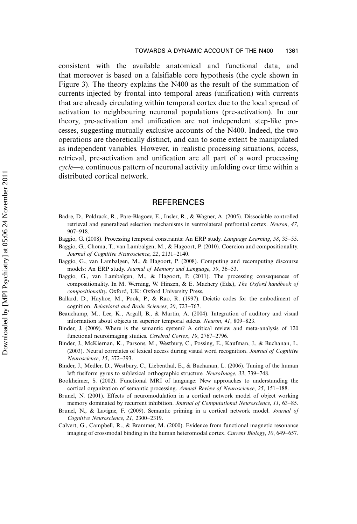consistent with the available anatomical and functional data, and that moreover is based on a falsifiable core hypothesis (the cycle shown in Figure 3). The theory explains the N400 as the result of the summation of currents injected by frontal into temporal areas (unification) with currents that are already circulating within temporal cortex due to the local spread of activation to neighbouring neuronal populations (pre-activation). In our theory, pre-activation and unification are not independent step-like processes, suggesting mutually exclusive accounts of the N400. Indeed, the two operations are theoretically distinct, and can to some extent be manipulated as independent variables. However, in realistic processing situations, access, retrieval, pre-activation and unification are all part of a word processing cycle—a continuous pattern of neuronal activity unfolding over time within a distributed cortical network.

## **REFERENCES**

- Badre, D., Poldrack, R., Pare-Blagoev, E., Insler, R., & Wagner, A. (2005). Dissociable controlled retrieval and generalized selection mechanisms in ventrolateral prefrontal cortex. Neuron, 47, 907-918
- Baggio, G. (2008). Processing temporal constraints: An ERP study. Language Learning, 58, 35–55.
- Baggio, G., Choma, T., van Lambalgen, M., & Hagoort, P. (2010). Coercion and compositionality. Journal of Cognitive Neuroscience, 22, 2131-2140.
- Baggio, G., van Lambalgen, M., & Hagoort, P. (2008). Computing and recomputing discourse models: An ERP study. Journal of Memory and Language, 59, 36-53.
- Baggio, G., van Lambalgen, M., & Hagoort, P. (2011). The processing consequences of compositionality. In M. Werning, W. Hinzen, & E. Machery (Eds.), The Oxford handbook of compositionality. Oxford, UK: Oxford University Press.
- Ballard, D., Hayhoe, M., Pook, P., & Rao, R. (1997). Deictic codes for the embodiment of cognition. Behavioral and Brain Sciences, 20, 723-767.
- Beauchamp, M., Lee, K., Argall, B., & Martin, A. (2004). Integration of auditory and visual information about objects in superior temporal sulcus. Neuron, 41, 809-823.
- Binder, J. (2009). Where is the semantic system? A critical review and meta-analysis of 120 functional neuroimaging studies. Cerebral Cortex, 19, 2767-2796.
- Binder, J., McKiernan, K., Parsons, M., Westbury, C., Possing, E., Kaufman, J., & Buchanan, L. (2003). Neural correlates of lexical access during visual word recognition. Journal of Cognitive Neuroscience, 15, 372-393.
- Binder, J., Medler, D., Westbury, C., Liebenthal, E., & Buchanan, L. (2006). Tuning of the human left fusiform gyrus to sublexical orthographic structure. NeuroImage,  $33$ ,  $739-748$ .
- Bookheimer, S. (2002). Functional MRI of language: New approaches to understanding the cortical organization of semantic processing. Annual Review of Neuroscience, 25, 151-188.
- Brunel, N. (2001). Effects of neuromodulation in a cortical network model of object working memory dominated by recurrent inhibition. Journal of Computational Neuroscience, 11, 63–85.
- Brunel, N., & Lavigne, F. (2009). Semantic priming in a cortical network model. Journal of Cognitive Neuroscience, 21, 2300-2319.
- Calvert, G., Campbell, R., & Brammer, M. (2000). Evidence from functional magnetic resonance imaging of crossmodal binding in the human heteromodal cortex. Current Biology, 10, 649–657.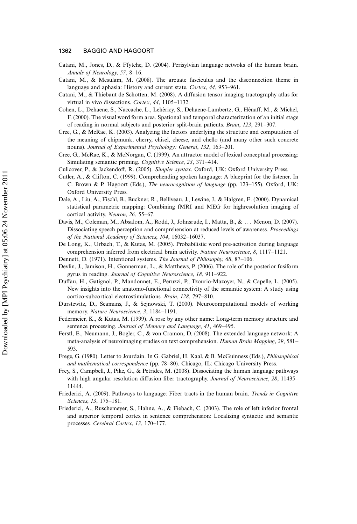- Catani, M., Jones, D., & Ffytche, D. (2004). Perisylvian language netwoks of the human brain. Annals of Neurology, 57, 8-16.
- Catani, M., & Mesulam, M. (2008). The arcuate fasciculus and the disconnection theme in language and aphasia: History and current state. Cortex, 44, 953-961.
- Catani, M., & Thiebaut de Schotten, M. (2008). A diffusion tensor imaging tractography atlas for virtual in vivo dissections. Cortex,  $44$ ,  $1105-1132$ .
- Cohen, L., Dehaene, S., Naccache, L., Lehèricy, S., Dehaene-Lambertz, G., Hènaff, M., & Michel, F. (2000). The visual word form area. Spational and temporal characterization of an initial stage of reading in normal subjects and posterior split-brain patients. *Brain*,  $123$ ,  $291-307$ .
- Cree, G., & McRae, K. (2003). Analyzing the factors underlying the structure and computation of the meaning of chipmunk, cherry, chisel, cheese, and chello (and many other such concrete nouns). Journal of Experimental Psychology: General, 132, 163-201.
- Cree, G., McRae, K., & McNorgan, C. (1999). An attractor model of lexical conceptual processing: Simulating semantic priming. Cognitive Science, 23, 371-414.
- Culicover, P., & Jackendoff, R. (2005). Simpler syntax. Oxford, UK: Oxford University Press.
- Cutler, A., & Clifton, C. (1999). Comprehending spoken language: A blueprint for the listener. In C. Brown & P. Hagoort (Eds.), The neurocognition of language (pp.  $123-155$ ). Oxford, UK: Oxford University Press.
- Dale, A., Liu, A., Fischl, B., Buckner, R., Belliveau, J., Lewine, J., & Halgren, E. (2000). Dynamical statistical parametric mapping: Combining fMRI and MEG for highresolution imaging of cortical activity. Neuron, 26, 55-67.
- Davis, M., Coleman, M., Absalom, A., Rodd, J., Johnsrude, I., Matta, B., & ... Menon, D. (2007). Dissociating speech perception and comprehension at reduced levels of awareness. Proceedings of the National Academy of Sciences, 104, 16032-16037.
- De Long, K., Urbach, T., & Kutas, M. (2005). Probabilistic word pre-activation during language comprehension inferred from electrical brain activity. Nature Neuroscience,  $8$ , 1117-1121. Dennett, D. (1971). Intentional systems. The Journal of Philosophy, 68, 87-106.
- Devlin, J., Jamison, H., Gonnerman, L., & Matthews, P. (2006). The role of the posterior fusiform gyrus in reading. Journal of Cognitive Neuroscience, 18, 911-922.
- Duffau, H., Gatignol, P., Mandonnet, E., Peruzzi, P., Tzourio-Mazoyer, N., & Capelle, L. (2005). New insights into the anatomo-functional connectivity of the semantic system: A study using cortico-subcortical electrostimulations. Brain, 128, 797-810.
- Durstewitz, D., Seamans, J., & Sejnowski, T. (2000). Neurocomputational models of working memory. Nature Neuroscience, 3, 1184-1191.
- Federmeier, K., & Kutas, M. (1999). A rose by any other name: Long-term memory structure and sentence processing. Journal of Memory and Language, 41, 469-495.
- Ferstl, E., Neumann, J., Bogler, C., & von Cramon, D. (2008). The extended language network: A meta-analysis of neuroimaging studies on text comprehension. Human Brain Mapping, 29, 581 593.
- Frege, G. (1980). Letter to Jourdain. In G. Gabriel, H. Kaal, & B. McGuinness (Eds.), Philosophical and mathematical correspondence (pp. 78-80). Chicago, IL: Chicago University Press.
- Frey, S., Campbell, J., Pike, G., & Petrides, M. (2008). Dissociating the human language pathways with high angular resolution diffusion fiber tractography. Journal of Neuroscience, 28, 11435-11444.
- Friederici, A. (2009). Pathways to language: Fiber tracts in the human brain. Trends in Cognitive Sciences, 13, 175-181.
- Friederici, A., Ruschemeyer, S., Hahne, A., & Fiebach, C. (2003). The role of left inferior frontal and superior temporal cortex in sentence comprehension: Localizing syntactic and semantic processes. Cerebral Cortex, 13, 170-177.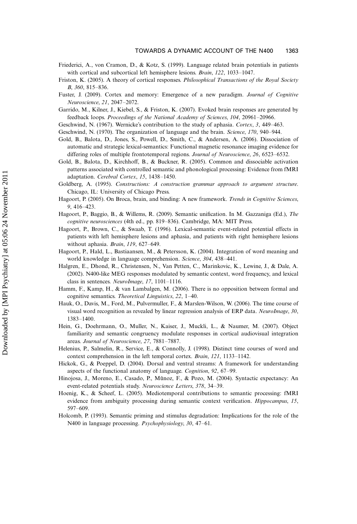- Friederici, A., von Cramon, D., & Kotz, S. (1999). Language related brain potentials in patients with cortical and subcortical left hemisphere lesions. *Brain, 122, 1033-1047*.
- Friston, K. (2005). A theory of cortical responses. Philosophical Transactions of the Royal Society B, 360, 815-836.
- Fuster, J. (2009). Cortex and memory: Emergence of a new paradigm. Journal of Cognitive Neuroscience, 21, 2047-2072.
- Garrido, M., Kilner, J., Kiebel, S., & Friston, K. (2007). Evoked brain responses are generated by feedback loops. Proceedings of the National Academy of Sciences, 104, 20961-20966.
- Geschwind, N. (1967). Wernicke's contribution to the study of aphasia. Cortex, 3, 449–463.
- Geschwind, N. (1970). The organization of language and the brain. Science, 170, 940–944.
- Gold, B., Balota, D., Jones, S., Powell, D., Smith, C., & Andersen, A. (2006). Dissociation of automatic and strategic lexical-semantics: Functional magnetic resonance imaging evidence for differing roles of multiple frontotemporal regions. Journal of Neuroscience, 26, 6523-6532.
- Gold, B., Balota, D., Kirchhoff, B., & Buckner, R. (2005). Common and dissociable activation patterns associated with controlled semantic and phonological processing: Evidence from fMRI adaptation. Cerebral Cortex, 15, 1438-1450.
- Goldberg, A. (1995). Constructions: A construction grammar approach to argument structure. Chicago, IL: University of Chicago Press.
- Hagoort, P. (2005). On Broca, brain, and binding: A new framework. *Trends in Cognitive Sciences*, 9, 416-423.
- Hagoort, P., Baggio, B., & Willems, R. (2009). Semantic unification. In M. Gazzaniga (Ed.), The cognitive neurosciences (4th ed., pp. 819–836). Cambridge, MA: MIT Press.
- Hagoort, P., Brown, C., & Swaab, T. (1996). Lexical-semantic event-related potential effects in patients with left hemisphere lesions and aphasia, and patients with right hemisphere lesions without aphasia. Brain,  $119$ , 627-649.
- Hagoort, P., Hald, L., Bastiaansen, M., & Petersson, K. (2004). Integration of word meaning and world knowledge in language comprehension. Science, 304, 438-441.
- Halgren, E., Dhond, R., Christensen, N., Van Petten, C., Marinkovic, K., Lewine, J., & Dale, A. (2002). N400-like MEG responses modulated by semantic context, word frequency, and lexical class in sentences. NeuroImage,  $17$ ,  $1101-1116$ .
- Hamm, F., Kamp, H., & van Lambalgen, M. (2006). There is no opposition between formal and cognitive semantics. Theoretical Linguistics, 22, 1-40.
- Hauk, O., Davis, M., Ford, M., Pulvermuller, F., & Marslen-Wilson, W. (2006). The time course of visual word recognition as revealed by linear regression analysis of ERP data. NeuroImage, 30, 1383-1400.
- Hein, G., Doehrmann, O., Muller, N., Kaiser, J., Muckli, L., & Naumer, M. (2007). Object familiarity and semantic congruency modulate responses in cortical audiovisual integration areas. Journal of Neuroscience, 27, 7881-7887.
- Helenius, P., Salmelin, R., Service, E., & Connolly, J. (1998). Distinct time courses of word and context comprehension in the left temporal cortex. Brain, 121, 1133-1142.
- Hickok, G., & Poeppel, D. (2004). Dorsal and ventral streams: A framework for understanding aspects of the functional anatomy of language. Cognition, 92, 67-99.
- Hinojosa, J., Moreno, E., Casado, P., Mũnoz, F., & Pozo, M. (2004). Syntactic expectancy: An event-related potentials study. Neuroscience Letters, 378, 34-39.
- Hoenig, K., & Scheef, L. (2005). Mediotemporal contributions to semantic processing: fMRI evidence from ambiguity processing during semantic context verification. Hippocampus, 15, 597-609.
- Holcomb, P. (1993). Semantic priming and stimulus degradation: Implications for the role of the N400 in language processing. Psychophysiology,  $30, 47-61$ .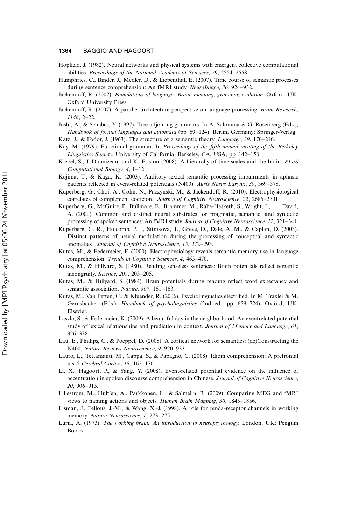- Hopfield, J. (1982). Neural networks and physical systems with emergent collective computational abilities. Proceedings of the National Academy of Sciences, 79, 2554-2558.
- Humphries, C., Binder, J., Medler, D., & Liebenthal, E. (2007). Time course of semantic processes during sentence comprehension: An fMRI study. NeuroImage, 36, 924-932.
- Jackendoff, R. (2002). Foundations of language: Brain, meaning, grammar, evolution. Oxford, UK: Oxford University Press.
- Jackendoff, R. (2007). A parallel architecture perspective on language processing. *Brain Research*,  $1146, 2-22$
- Joshi, A., & Schabes, Y. (1997). Tree-adjoining grammars. In A. Salomma & G. Rosenberg (Eds.), Handbook of formal languages and automata (pp. 69-124). Berlin, Germany: Springer-Verlag.

Katz, J., & Fodor, J. (1963). The structure of a semantic theory. *Language*,  $39$ ,  $170-210$ .

- Kay, M. (1979). Functional grammar. In Proceedings of the fifth annual meeting of the Berkeley Linguistics Society. University of California, Berkeley, CA, USA, pp. 142-158.
- Kiebel, S., J. Daunizeau, and K. Friston (2008). A hierarchy of time-scales and the brain. PLoS Computational Biology, 4,  $1-12$
- Kojima, T., & Kaga, K. (2003). Auditory lexical-semantic processing impairments in aphasic patients reflected in event-related potentials (N400). Auris Nasus Larvnx, 30, 369-378.
- Kuperberg, G., Choi, A., Cohn, N., Paczynski, M., & Jackendoff, R. (2010). Electrophysiological correlates of complement coercion. Journal of Cognitive Neuroscience, 22, 2685-2701.
- Kuperberg, G., McGuire, P., Bullmore, E., Brammer, M., Rabe-Hesketh, S., Wright, I., ... David, A. (2000). Common and distinct neural substrates for pragmatic, semantic, and syntactic processing of spoken sentences: An fMRI study. Journal of Cognitive Neuroscience, 12, 321-341.
- Kuperberg, G. R., Holcomb, P. J., Sitnikova, T., Greve, D., Dale, A. M., & Caplan, D. (2003). Distinct patterns of neural modulation during the processing of conceptual and syntactic anomalies. Journal of Cognitive Neuroscience, 15, 272-293.
- Kutas, M., & Federmeier, F. (2000). Electrophysiology reveals semantic memory use in language comprehension. Trends in Cognitive Sciences, 4, 463-470.
- Kutas, M., & Hillyard, S. (1980). Reading senseless sentences: Brain potentials reflect semantic incongruity. Science, 207, 203-205.
- Kutas, M., & Hillyard, S. (1984). Brain potentials during reading reflect word expectancy and semantic association. Nature, 307, 161-163.
- Kutas, M., Van Petten, C., & Kluender, R. (2006). Psycholinguistics electrified. In M. Traxler & M. Gernsbacher (Eds.), Handbook of psycholinguistics (2nd ed., pp. 659-724). Oxford, UK: Elsevier.
- Laszlo, S., & Federmeier, K. (2009). A beautiful day in the neighborhood: An eventrelated potential study of lexical relationships and prediction in context. Journal of Memory and Language, 61, 326-338.
- Lau, E., Phillips, C., & Poeppel, D. (2008). A cortical network for semantics: (de)Constructing the N400. Nature Reviews Neuroscience, 9, 920-933.
- Lauro, L., Tettamanti, M., Cappa, S., & Papagno, C. (2008). Idiom comprehension: A prefrontal task? Cerebral Cortex, 18, 162-170.
- Li, X., Hagoort, P., & Yang, Y. (2008). Event-related potential evidence on the influence of accentuation in spoken discourse comprehension in Chinese. Journal of Cognitive Neuroscience, 20, 906-915.
- Liljeström, M., Hult'en, A., Parkkonen, L., & Salmelin, R. (2009). Comparing MEG and fMRI views to naming actions and objects. Human Brain Mapping, 30, 1845-1856.
- Lisman, J., Fellous, J.-M., & Wang, X.-J. (1998). A role for nmda-receptor channels in working memory. Nature Neuroscience, 1, 273-275.
- Luria, A. (1973). The working brain: An introduction to neuropsychology. London, UK: Penguin Books.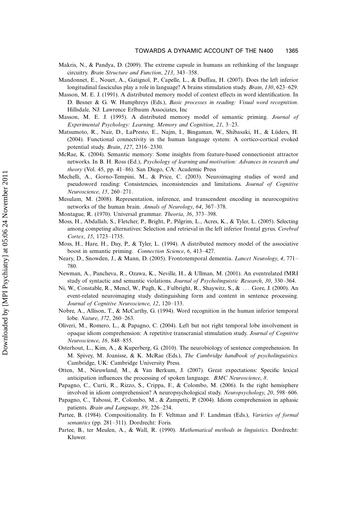- Makris, N., & Pandya, D. (2009). The extreme capsule in humans an rethinking of the language circuitry. Brain Structure and Function, 213, 343-358.
- Mandonnet, E., Nouet, A., Gatignol, P., Capelle, L., & Duffau, H. (2007). Does the left inferior longitudinal fasciculus play a role in language? A brains stimulation study. *Brain*,  $130, 623-629$ .
- Masson, M. E. J. (1991). A distributed memory model of context effects in word identification. In D. Besner & G. W. Humphreys (Eds.), Basic processes in reading: Visual word recognition. Hillsdale, NJ: Lawrence Erlbaum Associates, Inc
- Masson, M. E. J. (1995). A distributed memory model of semantic priming. Journal of Experimental Psychology: Learning, Memory and Cognition, 21, 3-23.
- Matsumoto, R., Nair, D., LaPresto, E., Najm, I., Bingaman, W., Shibasaki, H., & Lüders, H. (2004). Functional connectivity in the human language system: A cortico-cortical evoked potential study. Brain, 127, 2316-2330.
- McRae, K. (2004). Semantic memory: Some insights from feature-based connectionist attractor networks. In B. H. Ross (Ed.), *Psychology of learning and motivation: Advances in research and* theory (Vol. 45, pp. 41–86). San Diego, CA: Academic Press
- Mechelli, A., Gorno-Tempini, M., & Price, C. (2003). Neuroimaging studies of word and pseudoword reading: Consistencies, inconsistencies and limitations. Journal of Cognitive Neuroscience, 15, 260-271.
- Mesulam, M. (2008). Representation, inference, and transcendent encoding in neurocognitive networks of the human brain. Annals of Neurology, 64, 367-378.
- Montague, R. (1970). Universal grammar. Theoria, 36, 373-398.
- Moss, H., Abdallah, S., Fletcher, P., Bright, P., Pilgrim, L., Acres, K., & Tyler, L. (2005). Selecting among competing alternatives: Selection and retrieval in the left inferior frontal gyrus. Cerebral Cortex, 15, 1723-1735.
- Moss, H., Hare, H., Day, P., & Tyler, L. (1994). A distributed memory model of the associative boost in semantic priming. Connection Science, 6, 413-427.
- Neary, D., Snowden, J., & Mann, D. (2005). Frontotemporal dementia. *Lancet Neurology*, 4, 771– 780.
- Newman, A., Pancheva, R., Ozawa, K., Neville, H., & Ullman, M. (2001). An eventrelated fMRI study of syntactic and semantic violations. Journal of Psycholinguistic Research, 30, 330-364.
- Ni, W., Constable, R., Mencl, W., Pugh, K., Fulbright, R., Shaywitz, S., & ... Gore, J. (2000). An event-related neuroimaging study distinguishing form and content in sentence processing. Journal of Cognitive Neuroscience, 12, 120-133.
- Nobre, A., Allison, T., & McCarthy, G. (1994). Word recognition in the human inferior temporal lobe. Nature, 372, 260-263.
- Oliveri, M., Romero, L., & Papagno, C. (2004). Left but not right temporal lobe involvement in opaque idiom comprehension: A repetitive transcranial stimulation study. Journal of Cognitive Neuroscience, 16, 848-855.
- Osterhout, L., Kim, A., & Kuperberg, G. (2010). The neurobiology of sentence comprehension. In M. Spivey, M. Joanisse, & K. McRae (Eds.), The Cambridge handbook of psycholinguistics. Cambridge, UK: Cambridge University Press.
- Otten, M., Nieuwland, M., & Van Berkum, J. (2007). Great expectations: Specific lexical anticipation influences the processing of spoken language. BMC Neuroscience, 8.
- Papagno, C., Curti, R., Rizzo, S., Crippa, F., & Colombo, M. (2006). Is the right hemisphere involved in idiom comprehension? A neuropsychological study. Neuropsychology, 20, 598–606.
- Papagno, C., Tabossi, P., Colombo, M., & Zampetti, P. (2004). Idiom comprehension in aphasic patients. Brain and Language, 89, 226-234.
- Partee, B. (1984). Compositionality. In F. Veltman and F. Landman (Eds.), Varieties of formal semantics (pp. 281-311). Dordrecht: Foris.
- Partee, B., ter Meulen, A., & Wall, R. (1990). Mathematical methods in linguistics. Dordrecht: Kluwer.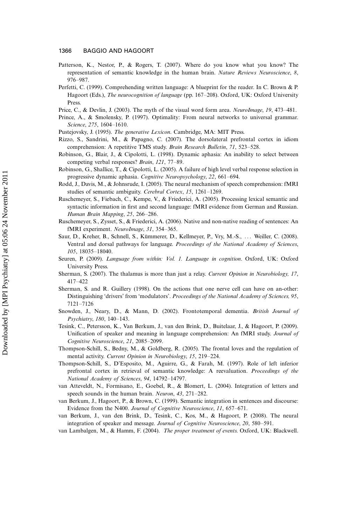- Patterson, K., Nestor, P., & Rogers, T. (2007). Where do you know what you know? The representation of semantic knowledge in the human brain. Nature Reviews Neuroscience, 8, 976-987
- Perfetti, C. (1999). Comprehending written language: A blueprint for the reader. In C. Brown & P. Hagoort (Eds.), *The neurocognition of language* (pp. 167–208). Oxford, UK: Oxford University Press.
- Price, C., & Devlin, J. (2003). The myth of the visual word form area. NeuroImage,  $19, 473-481$ .
- Prince, A., & Smolensky, P. (1997). Optimality: From neural networks to universal grammar. Science, 275, 1604-1610.
- Pustejovsky, J. (1995). The generative Lexicon. Cambridge, MA: MIT Press.
- Rizzo, S., Sandrini, M., & Papagno, C. (2007). The dorsolateral prefrontal cortex in idiom comprehension: A repetitive TMS study. Brain Research Bulletin, 71, 523-528.
- Robinson, G., Blair, J., & Cipolotti, L. (1998). Dynamic aphasia: An inability to select between competing verbal responses? Brain, 121, 77-89.
- Robinson, G., Shallice, T., & Cipolotti, L. (2005). A failure of high level verbal response selection in progressive dynamic aphasia. Cognitive Neuropsychology, 22, 661-694.
- Rodd, J., Davis, M., & Johnsrude, I. (2005). The neural mechanism of speech comprehension: fMRI studies of semantic ambiguity. Cerebral Cortex, 15, 1261-1269.
- Ruschemeyer, S., Fiebach, C., Kempe, V., & Friederici, A. (2005). Processing lexical semantic and syntactic information in first and second language: fMRI evidence from German and Russian. Human Brain Mapping, 25, 266-286.
- Ruschemeyer, S., Zysset, S., & Friederici, A. (2006). Native and non-native reading of sentences: An fMRI experiment. NeuroImage, 31, 354-365.
- Saur, D., Kreher, B., Schnell, S., Kümmerer, D., Kellmeyer, P., Vry, M.-S., ... Weiller, C. (2008). Ventral and dorsal pathways for language. Proceedings of the National Academy of Sciences,  $105, 18035 - 18040.$
- Seuren, P. (2009). Language from within: Vol. 1. Language in cognition. Oxford, UK: Oxford University Press.
- Sherman, S. (2007). The thalamus is more than just a relay. Current Opinion in Neurobiology, 17, 417-422
- Sherman, S. and R. Guillery (1998). On the actions that one nerve cell can have on an-other: Distinguishing 'drivers' from 'modulators'. Proceedings of the National Academy of Sciences, 95, 7121-7126
- Snowden, J., Neary, D., & Mann, D. (2002). Frontotemporal dementia. British Journal of Psychiatry, 180, 140-143.
- Tesink, C., Petersson, K., Van Berkum, J., van den Brink, D., Buitelaar, J., & Hagoort, P. (2009). Unification of speaker and meaning in language comprehension: An fMRI study. Journal of Cognitive Neuroscience, 21, 2085-2099.
- Thompson-Schill, S., Bedny, M., & Goldberg, R. (2005). The frontal loves and the regulation of mental activity. Current Opinion in Neurobiology, 15, 219-224.
- Thompson-Schill, S., D'Esposito, M., Aguirre, G., & Farah, M. (1997). Role of left inferior prefrontal cortex in retrieval of semantic knowledge: A reevaluation. Proceedings of the National Academy of Sciences, 94, 14792-14797.
- van Atteveldt, N., Formisano, E., Goebel, R., & Blomert, L. (2004). Integration of letters and speech sounds in the human brain. Neuron,  $43$ ,  $271-282$ .
- van Berkum, J., Hagoort, P., & Brown, C. (1999). Semantic integration in sentences and discourse: Evidence from the N400. Journal of Cognitive Neuroscience, 11, 657-671.
- van Berkum, J., van den Brink, D., Tesink, C., Kos, M., & Hagoort, P. (2008). The neural integration of speaker and message. Journal of Cognitive Neuroscience, 20, 580-591.
- van Lambalgen, M., & Hamm, F. (2004). The proper treatment of events. Oxford, UK: Blackwell.